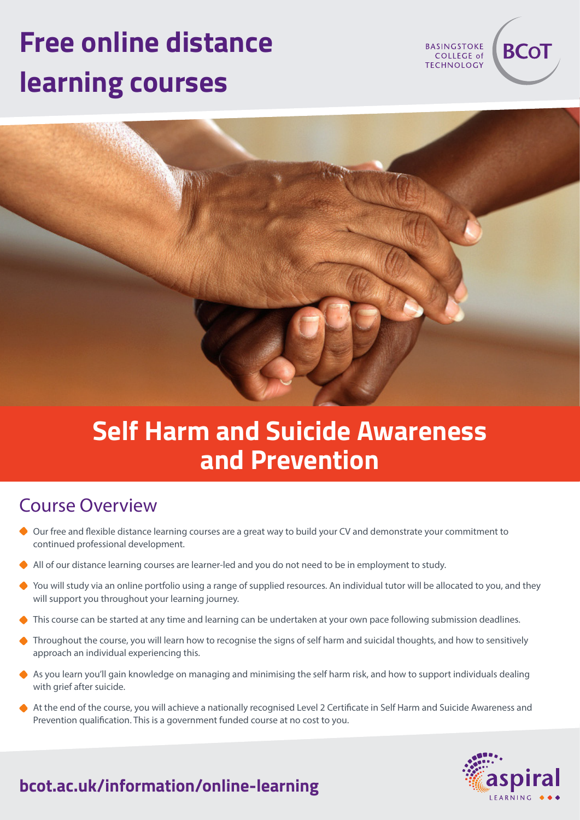# **Free online distance learning courses**

**BASINGSTOKE** COLLEGE of **TECHNOLOGY** 

**BCo1** 



# **Self Harm and Suicide Awareness and Prevention**

## Course Overview

- Our free and flexible distance learning courses are a great way to build your CV and demonstrate your commitment to continued professional development.
- All of our distance learning courses are learner-led and you do not need to be in employment to study.
- ◆ You will study via an online portfolio using a range of supplied resources. An individual tutor will be allocated to you, and they will support you throughout your learning journey.
- This course can be started at any time and learning can be undertaken at your own pace following submission deadlines.
- ◆ Throughout the course, you will learn how to recognise the signs of self harm and suicidal thoughts, and how to sensitively approach an individual experiencing this.
- As you learn you'll gain knowledge on managing and minimising the self harm risk, and how to support individuals dealing with grief after suicide.
- At the end of the course, you will achieve a nationally recognised Level 2 Certificate in Self Harm and Suicide Awareness and Prevention qualification. This is a government funded course at no cost to you.



## **bcot.ac.uk/information/online-learning**